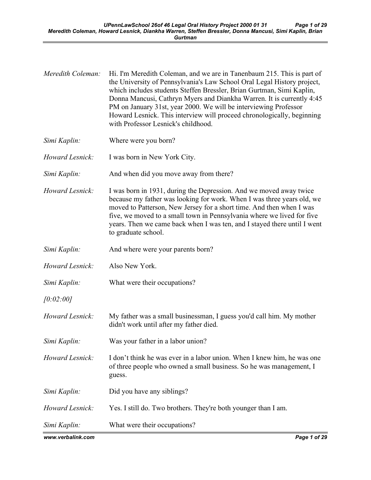| Meredith Coleman: | Hi. I'm Meredith Coleman, and we are in Tanenbaum 215. This is part of<br>the University of Pennsylvania's Law School Oral Legal History project,<br>which includes students Steffen Bressler, Brian Gurtman, Simi Kaplin,<br>Donna Mancusi, Cathryn Myers and Diankha Warren. It is currently 4:45<br>PM on January 31st, year 2000. We will be interviewing Professor<br>Howard Lesnick. This interview will proceed chronologically, beginning<br>with Professor Lesnick's childhood. |
|-------------------|------------------------------------------------------------------------------------------------------------------------------------------------------------------------------------------------------------------------------------------------------------------------------------------------------------------------------------------------------------------------------------------------------------------------------------------------------------------------------------------|
| Simi Kaplin:      | Where were you born?                                                                                                                                                                                                                                                                                                                                                                                                                                                                     |
| Howard Lesnick:   | I was born in New York City.                                                                                                                                                                                                                                                                                                                                                                                                                                                             |
| Simi Kaplin:      | And when did you move away from there?                                                                                                                                                                                                                                                                                                                                                                                                                                                   |
| Howard Lesnick:   | I was born in 1931, during the Depression. And we moved away twice<br>because my father was looking for work. When I was three years old, we<br>moved to Patterson, New Jersey for a short time. And then when I was<br>five, we moved to a small town in Pennsylvania where we lived for five<br>years. Then we came back when I was ten, and I stayed there until I went<br>to graduate school.                                                                                        |
| Simi Kaplin:      | And where were your parents born?                                                                                                                                                                                                                                                                                                                                                                                                                                                        |
| Howard Lesnick:   | Also New York.                                                                                                                                                                                                                                                                                                                                                                                                                                                                           |
| Simi Kaplin:      | What were their occupations?                                                                                                                                                                                                                                                                                                                                                                                                                                                             |
| [0:02:00]         |                                                                                                                                                                                                                                                                                                                                                                                                                                                                                          |
| Howard Lesnick:   | My father was a small businessman, I guess you'd call him. My mother<br>didn't work until after my father died.                                                                                                                                                                                                                                                                                                                                                                          |
| Simi Kaplin:      | Was your father in a labor union?                                                                                                                                                                                                                                                                                                                                                                                                                                                        |
| Howard Lesnick:   | I don't think he was ever in a labor union. When I knew him, he was one<br>of three people who owned a small business. So he was management, I<br>guess.                                                                                                                                                                                                                                                                                                                                 |
| Simi Kaplin:      | Did you have any siblings?                                                                                                                                                                                                                                                                                                                                                                                                                                                               |
| Howard Lesnick:   | Yes. I still do. Two brothers. They're both younger than I am.                                                                                                                                                                                                                                                                                                                                                                                                                           |
| Simi Kaplin:      | What were their occupations?                                                                                                                                                                                                                                                                                                                                                                                                                                                             |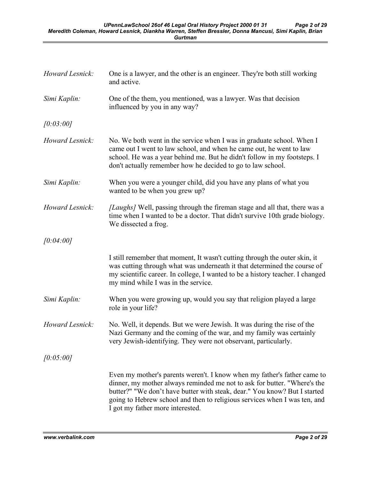| Howard Lesnick: | One is a lawyer, and the other is an engineer. They're both still working<br>and active.                                                                                                                                                                                                                                                           |
|-----------------|----------------------------------------------------------------------------------------------------------------------------------------------------------------------------------------------------------------------------------------------------------------------------------------------------------------------------------------------------|
| Simi Kaplin:    | One of the them, you mentioned, was a lawyer. Was that decision<br>influenced by you in any way?                                                                                                                                                                                                                                                   |
| [0:03:00]       |                                                                                                                                                                                                                                                                                                                                                    |
| Howard Lesnick: | No. We both went in the service when I was in graduate school. When I<br>came out I went to law school, and when he came out, he went to law<br>school. He was a year behind me. But he didn't follow in my footsteps. I<br>don't actually remember how he decided to go to law school.                                                            |
| Simi Kaplin:    | When you were a younger child, did you have any plans of what you<br>wanted to be when you grew up?                                                                                                                                                                                                                                                |
| Howard Lesnick: | [Laughs] Well, passing through the fireman stage and all that, there was a<br>time when I wanted to be a doctor. That didn't survive 10th grade biology.<br>We dissected a frog.                                                                                                                                                                   |
| [0:04:00]       |                                                                                                                                                                                                                                                                                                                                                    |
|                 | I still remember that moment, It wasn't cutting through the outer skin, it<br>was cutting through what was underneath it that determined the course of<br>my scientific career. In college, I wanted to be a history teacher. I changed<br>my mind while I was in the service.                                                                     |
| Simi Kaplin:    | When you were growing up, would you say that religion played a large<br>role in your life?                                                                                                                                                                                                                                                         |
| Howard Lesnick: | No. Well, it depends. But we were Jewish. It was during the rise of the<br>Nazi Germany and the coming of the war, and my family was certainly<br>very Jewish-identifying. They were not observant, particularly.                                                                                                                                  |
| [0:05:00]       |                                                                                                                                                                                                                                                                                                                                                    |
|                 | Even my mother's parents weren't. I know when my father's father came to<br>dinner, my mother always reminded me not to ask for butter. "Where's the<br>butter?" "We don't have butter with steak, dear." You know? But I started<br>going to Hebrew school and then to religious services when I was ten, and<br>I got my father more interested. |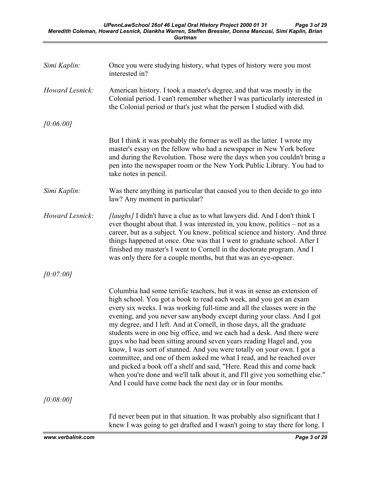| Simi Kaplin:    | Once you were studying history, what types of history were you most<br>interested in?                                                                                                                                                                                                                                                                                                                                                                                                                                                                                                                                                                                                                                                                                                                                                                                                                      |
|-----------------|------------------------------------------------------------------------------------------------------------------------------------------------------------------------------------------------------------------------------------------------------------------------------------------------------------------------------------------------------------------------------------------------------------------------------------------------------------------------------------------------------------------------------------------------------------------------------------------------------------------------------------------------------------------------------------------------------------------------------------------------------------------------------------------------------------------------------------------------------------------------------------------------------------|
| Howard Lesnick: | American history. I took a master's degree, and that was mostly in the<br>Colonial period. I can't remember whether I was particularly interested in<br>the Colonial period or that's just what the person I studied with did.                                                                                                                                                                                                                                                                                                                                                                                                                                                                                                                                                                                                                                                                             |
| [0:06:00]       |                                                                                                                                                                                                                                                                                                                                                                                                                                                                                                                                                                                                                                                                                                                                                                                                                                                                                                            |
|                 | But I think it was probably the former as well as the latter. I wrote my<br>master's essay on the fellow who had a newspaper in New York before<br>and during the Revolution. Those were the days when you couldn't bring a<br>pen into the newspaper room or the New York Public Library. You had to<br>take notes in pencil.                                                                                                                                                                                                                                                                                                                                                                                                                                                                                                                                                                             |
| Simi Kaplin:    | Was there anything in particular that caused you to then decide to go into<br>law? Any moment in particular?                                                                                                                                                                                                                                                                                                                                                                                                                                                                                                                                                                                                                                                                                                                                                                                               |
| Howard Lesnick: | <i>[laughs]</i> I didn't have a clue as to what lawyers did. And I don't think I<br>ever thought about that. I was interested in, you know, politics – not as a<br>career, but as a subject. You know, political science and history. And three<br>things happened at once. One was that I went to graduate school. After I<br>finished my master's I went to Cornell in the doctorate program. And I<br>was only there for a couple months, but that was an eye-opener.                                                                                                                                                                                                                                                                                                                                                                                                                                   |
| [0:07:00]       |                                                                                                                                                                                                                                                                                                                                                                                                                                                                                                                                                                                                                                                                                                                                                                                                                                                                                                            |
|                 | Columbia had some terrific teachers, but it was in sense an extension of<br>high school. You got a book to read each week, and you got an exam<br>every six weeks. I was working full-time and all the classes were in the<br>evening, and you never saw anybody except during your class. And I got<br>my degree, and I left. And at Cornell, in those days, all the graduate<br>students were in one big office, and we each had a desk. And there were<br>guys who had been sitting around seven years reading Hagel and, you<br>know, I was sort of stunned. And you were totally on your own. I got a<br>committee, and one of them asked me what I read, and he reached over<br>and picked a book off a shelf and said, "Here. Read this and come back<br>when you're done and we'll talk about it, and I'll give you something else."<br>And I could have come back the next day or in four months. |
| [0:08:00]       |                                                                                                                                                                                                                                                                                                                                                                                                                                                                                                                                                                                                                                                                                                                                                                                                                                                                                                            |
|                 | I'd never been put in that situation. It was probably also significant that I<br>knew I was going to get drafted and I wasn't going to stay there for long. I                                                                                                                                                                                                                                                                                                                                                                                                                                                                                                                                                                                                                                                                                                                                              |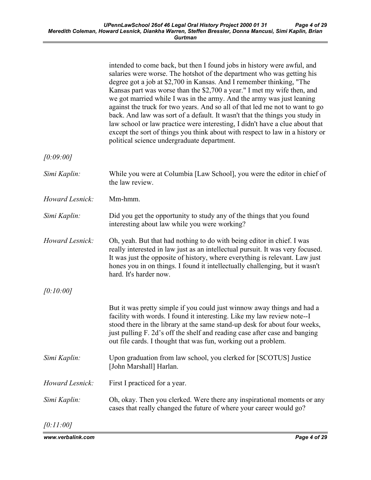|                 | intended to come back, but then I found jobs in history were awful, and<br>salaries were worse. The hotshot of the department who was getting his<br>degree got a job at \$2,700 in Kansas. And I remember thinking, "The<br>Kansas part was worse than the \$2,700 a year." I met my wife then, and<br>we got married while I was in the army. And the army was just leaning<br>against the truck for two years. And so all of that led me not to want to go<br>back. And law was sort of a default. It wasn't that the things you study in<br>law school or law practice were interesting, I didn't have a clue about that<br>except the sort of things you think about with respect to law in a history or<br>political science undergraduate department. |
|-----------------|--------------------------------------------------------------------------------------------------------------------------------------------------------------------------------------------------------------------------------------------------------------------------------------------------------------------------------------------------------------------------------------------------------------------------------------------------------------------------------------------------------------------------------------------------------------------------------------------------------------------------------------------------------------------------------------------------------------------------------------------------------------|
| [0:09:00]       |                                                                                                                                                                                                                                                                                                                                                                                                                                                                                                                                                                                                                                                                                                                                                              |
| Simi Kaplin:    | While you were at Columbia [Law School], you were the editor in chief of<br>the law review.                                                                                                                                                                                                                                                                                                                                                                                                                                                                                                                                                                                                                                                                  |
| Howard Lesnick: | Mm-hmm.                                                                                                                                                                                                                                                                                                                                                                                                                                                                                                                                                                                                                                                                                                                                                      |
| Simi Kaplin:    | Did you get the opportunity to study any of the things that you found<br>interesting about law while you were working?                                                                                                                                                                                                                                                                                                                                                                                                                                                                                                                                                                                                                                       |
| Howard Lesnick: | Oh, yeah. But that had nothing to do with being editor in chief. I was<br>really interested in law just as an intellectual pursuit. It was very focused.<br>It was just the opposite of history, where everything is relevant. Law just<br>hones you in on things. I found it intellectually challenging, but it wasn't<br>hard. It's harder now.                                                                                                                                                                                                                                                                                                                                                                                                            |
| [0:10:00]       |                                                                                                                                                                                                                                                                                                                                                                                                                                                                                                                                                                                                                                                                                                                                                              |
|                 | But it was pretty simple if you could just winnow away things and had a<br>facility with words. I found it interesting. Like my law review note--I<br>stood there in the library at the same stand-up desk for about four weeks,<br>just pulling F. 2d's off the shelf and reading case after case and banging<br>out file cards. I thought that was fun, working out a problem.                                                                                                                                                                                                                                                                                                                                                                             |
| Simi Kaplin:    | Upon graduation from law school, you clerked for [SCOTUS] Justice<br>[John Marshall] Harlan.                                                                                                                                                                                                                                                                                                                                                                                                                                                                                                                                                                                                                                                                 |
| Howard Lesnick: | First I practiced for a year.                                                                                                                                                                                                                                                                                                                                                                                                                                                                                                                                                                                                                                                                                                                                |
| Simi Kaplin:    | Oh, okay. Then you clerked. Were there any inspirational moments or any<br>cases that really changed the future of where your career would go?                                                                                                                                                                                                                                                                                                                                                                                                                                                                                                                                                                                                               |
| [0:11:00]       |                                                                                                                                                                                                                                                                                                                                                                                                                                                                                                                                                                                                                                                                                                                                                              |

www.verbalink.com Page 4 of 29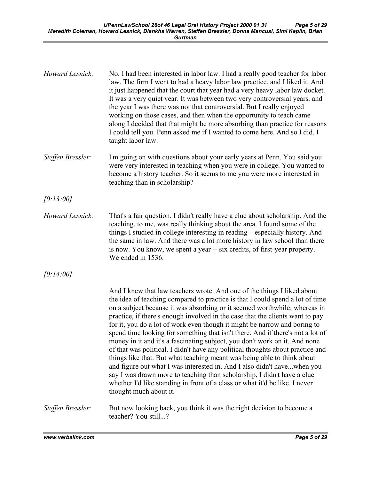| Howard Lesnick:   | No. I had been interested in labor law. I had a really good teacher for labor<br>law. The firm I went to had a heavy labor law practice, and I liked it. And<br>it just happened that the court that year had a very heavy labor law docket.<br>It was a very quiet year. It was between two very controversial years. and<br>the year I was there was not that controversial. But I really enjoyed<br>working on those cases, and then when the opportunity to teach came<br>along I decided that that might be more absorbing than practice for reasons<br>I could tell you. Penn asked me if I wanted to come here. And so I did. I<br>taught labor law.                                                                                                                                                                                                                                                                                                                                     |
|-------------------|-------------------------------------------------------------------------------------------------------------------------------------------------------------------------------------------------------------------------------------------------------------------------------------------------------------------------------------------------------------------------------------------------------------------------------------------------------------------------------------------------------------------------------------------------------------------------------------------------------------------------------------------------------------------------------------------------------------------------------------------------------------------------------------------------------------------------------------------------------------------------------------------------------------------------------------------------------------------------------------------------|
| Steffen Bressler: | I'm going on with questions about your early years at Penn. You said you<br>were very interested in teaching when you were in college. You wanted to<br>become a history teacher. So it seems to me you were more interested in<br>teaching than in scholarship?                                                                                                                                                                                                                                                                                                                                                                                                                                                                                                                                                                                                                                                                                                                                |
| [0:13:00]         |                                                                                                                                                                                                                                                                                                                                                                                                                                                                                                                                                                                                                                                                                                                                                                                                                                                                                                                                                                                                 |
| Howard Lesnick:   | That's a fair question. I didn't really have a clue about scholarship. And the<br>teaching, to me, was really thinking about the area. I found some of the<br>things I studied in college interesting in reading – especially history. And<br>the same in law. And there was a lot more history in law school than there<br>is now. You know, we spent a year -- six credits, of first-year property.<br>We ended in 1536.                                                                                                                                                                                                                                                                                                                                                                                                                                                                                                                                                                      |
| [0:14:00]         |                                                                                                                                                                                                                                                                                                                                                                                                                                                                                                                                                                                                                                                                                                                                                                                                                                                                                                                                                                                                 |
|                   | And I knew that law teachers wrote. And one of the things I liked about<br>the idea of teaching compared to practice is that I could spend a lot of time<br>on a subject because it was absorbing or it seemed worthwhile; whereas in<br>practice, if there's enough involved in the case that the clients want to pay<br>for it, you do a lot of work even though it might be narrow and boring to<br>spend time looking for something that isn't there. And if there's not a lot of<br>money in it and it's a fascinating subject, you don't work on it. And none<br>of that was political. I didn't have any political thoughts about practice and<br>things like that. But what teaching meant was being able to think about<br>and figure out what I was interested in. And I also didn't havewhen you<br>say I was drawn more to teaching than scholarship, I didn't have a clue<br>whether I'd like standing in front of a class or what it'd be like. I never<br>thought much about it. |
| Steffen Bressler: | But now looking back, you think it was the right decision to become a<br>teacher? You still?                                                                                                                                                                                                                                                                                                                                                                                                                                                                                                                                                                                                                                                                                                                                                                                                                                                                                                    |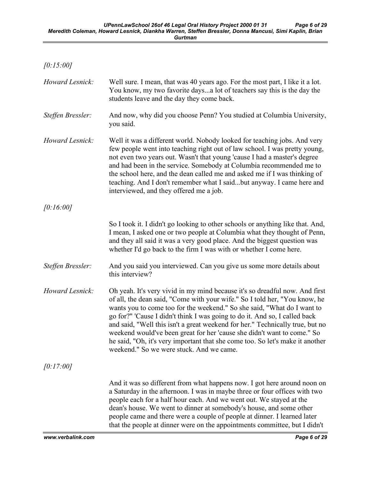| [0:15:00]         |                                                                                                                                                                                                                                                                                                                                                                                                                                                                                                                                                                                                             |
|-------------------|-------------------------------------------------------------------------------------------------------------------------------------------------------------------------------------------------------------------------------------------------------------------------------------------------------------------------------------------------------------------------------------------------------------------------------------------------------------------------------------------------------------------------------------------------------------------------------------------------------------|
| Howard Lesnick:   | Well sure. I mean, that was 40 years ago. For the most part, I like it a lot.<br>You know, my two favorite daysa lot of teachers say this is the day the<br>students leave and the day they come back.                                                                                                                                                                                                                                                                                                                                                                                                      |
| Steffen Bressler: | And now, why did you choose Penn? You studied at Columbia University,<br>you said.                                                                                                                                                                                                                                                                                                                                                                                                                                                                                                                          |
| Howard Lesnick:   | Well it was a different world. Nobody looked for teaching jobs. And very<br>few people went into teaching right out of law school. I was pretty young,<br>not even two years out. Wasn't that young 'cause I had a master's degree<br>and had been in the service. Somebody at Columbia recommended me to<br>the school here, and the dean called me and asked me if I was thinking of<br>teaching. And I don't remember what I saidbut anyway. I came here and<br>interviewed, and they offered me a job.                                                                                                  |
| [0:16:00]         |                                                                                                                                                                                                                                                                                                                                                                                                                                                                                                                                                                                                             |
|                   | So I took it. I didn't go looking to other schools or anything like that. And,<br>I mean, I asked one or two people at Columbia what they thought of Penn,<br>and they all said it was a very good place. And the biggest question was<br>whether I'd go back to the firm I was with or whether I come here.                                                                                                                                                                                                                                                                                                |
| Steffen Bressler: | And you said you interviewed. Can you give us some more details about<br>this interview?                                                                                                                                                                                                                                                                                                                                                                                                                                                                                                                    |
| Howard Lesnick:   | Oh yeah. It's very vivid in my mind because it's so dreadful now. And first<br>of all, the dean said, "Come with your wife." So I told her, "You know, he<br>wants you to come too for the weekend." So she said, "What do I want to<br>go for?" 'Cause I didn't think I was going to do it. And so, I called back<br>and said, "Well this isn't a great weekend for her." Technically true, but no<br>weekend would've been great for her 'cause she didn't want to come." So<br>he said, "Oh, it's very important that she come too. So let's make it another<br>weekend." So we were stuck. And we came. |
| [0:17:00]         |                                                                                                                                                                                                                                                                                                                                                                                                                                                                                                                                                                                                             |
|                   | And it was so different from what happens now. I got here around noon on<br>a Saturday in the afternoon. I was in maybe three or four offices with two<br>people each for a half hour each. And we went out. We stayed at the<br>dean's house. We went to dinner at somebody's house, and some other<br>people came and there were a couple of people at dinner. I learned later<br>that the people at dinner were on the appointments committee, but I didn't                                                                                                                                              |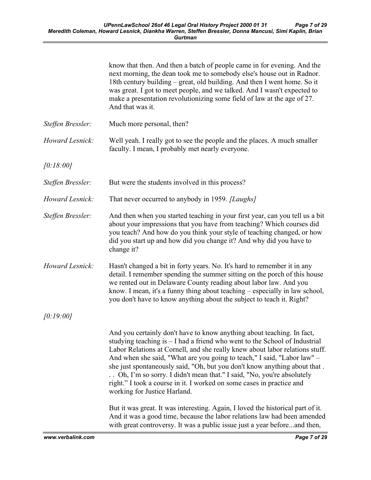|                   | know that then. And then a batch of people came in for evening. And the<br>next morning, the dean took me to somebody else's house out in Radnor.<br>18th century building – great, old building. And then I went home. So it<br>was great. I got to meet people, and we talked. And I wasn't expected to<br>make a presentation revolutionizing some field of law at the age of 27.<br>And that was it.                                                                                                                                                                                                                                                            |
|-------------------|---------------------------------------------------------------------------------------------------------------------------------------------------------------------------------------------------------------------------------------------------------------------------------------------------------------------------------------------------------------------------------------------------------------------------------------------------------------------------------------------------------------------------------------------------------------------------------------------------------------------------------------------------------------------|
| Steffen Bressler: | Much more personal, then?                                                                                                                                                                                                                                                                                                                                                                                                                                                                                                                                                                                                                                           |
| Howard Lesnick:   | Well yeah. I really got to see the people and the places. A much smaller<br>faculty. I mean, I probably met nearly everyone.                                                                                                                                                                                                                                                                                                                                                                                                                                                                                                                                        |
| [0:18:00]         |                                                                                                                                                                                                                                                                                                                                                                                                                                                                                                                                                                                                                                                                     |
| Steffen Bressler: | But were the students involved in this process?                                                                                                                                                                                                                                                                                                                                                                                                                                                                                                                                                                                                                     |
| Howard Lesnick:   | That never occurred to anybody in 1959. [Laughs]                                                                                                                                                                                                                                                                                                                                                                                                                                                                                                                                                                                                                    |
| Steffen Bressler: | And then when you started teaching in your first year, can you tell us a bit<br>about your impressions that you have from teaching? Which courses did<br>you teach? And how do you think your style of teaching changed, or how<br>did you start up and how did you change it? And why did you have to<br>change it?                                                                                                                                                                                                                                                                                                                                                |
| Howard Lesnick:   | Hasn't changed a bit in forty years. No. It's hard to remember it in any<br>detail. I remember spending the summer sitting on the porch of this house<br>we rented out in Delaware County reading about labor law. And you<br>know. I mean, it's a funny thing about teaching – especially in law school,<br>you don't have to know anything about the subject to teach it. Right?                                                                                                                                                                                                                                                                                  |
| [0:19:00]         |                                                                                                                                                                                                                                                                                                                                                                                                                                                                                                                                                                                                                                                                     |
|                   | And you certainly don't have to know anything about teaching. In fact,<br>studying teaching is $-$ I had a friend who went to the School of Industrial<br>Labor Relations at Cornell, and she really knew about labor relations stuff.<br>And when she said, "What are you going to teach," I said, "Labor law" –<br>she just spontaneously said, "Oh, but you don't know anything about that.<br>Oh, I'm so sorry. I didn't mean that." I said, "No, you're absolutely<br>right." I took a course in it. I worked on some cases in practice and<br>working for Justice Harland.<br>But it was great. It was interesting. Again, I loved the historical part of it. |
|                   | And it was a good time, because the labor relations law had been amended<br>with great controversy. It was a public issue just a year beforeand then,                                                                                                                                                                                                                                                                                                                                                                                                                                                                                                               |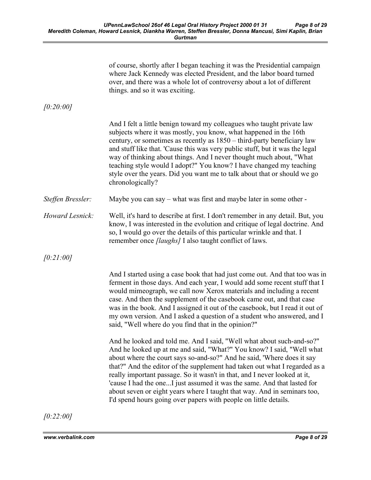|                   | of course, shortly after I began teaching it was the Presidential campaign<br>where Jack Kennedy was elected President, and the labor board turned<br>over, and there was a whole lot of controversy about a lot of different<br>things. and so it was exciting.                                                                                                                                                                                                                                                                                                                                               |
|-------------------|----------------------------------------------------------------------------------------------------------------------------------------------------------------------------------------------------------------------------------------------------------------------------------------------------------------------------------------------------------------------------------------------------------------------------------------------------------------------------------------------------------------------------------------------------------------------------------------------------------------|
| [0:20:00]         |                                                                                                                                                                                                                                                                                                                                                                                                                                                                                                                                                                                                                |
|                   | And I felt a little benign toward my colleagues who taught private law<br>subjects where it was mostly, you know, what happened in the 16th<br>century, or sometimes as recently as 1850 – third-party beneficiary law<br>and stuff like that. 'Cause this was very public stuff, but it was the legal<br>way of thinking about things. And I never thought much about, "What<br>teaching style would I adopt?" You know? I have changed my teaching<br>style over the years. Did you want me to talk about that or should we go<br>chronologically?                                                           |
| Steffen Bressler: | Maybe you can say – what was first and maybe later in some other -                                                                                                                                                                                                                                                                                                                                                                                                                                                                                                                                             |
| Howard Lesnick:   | Well, it's hard to describe at first. I don't remember in any detail. But, you<br>know, I was interested in the evolution and critique of legal doctrine. And<br>so, I would go over the details of this particular wrinkle and that. I<br>remember once <i>[laughs]</i> I also taught conflict of laws.                                                                                                                                                                                                                                                                                                       |
| [0:21:00]         |                                                                                                                                                                                                                                                                                                                                                                                                                                                                                                                                                                                                                |
|                   | And I started using a case book that had just come out. And that too was in<br>ferment in those days. And each year, I would add some recent stuff that I<br>would mimeograph, we call now Xerox materials and including a recent<br>case. And then the supplement of the casebook came out, and that case<br>was in the book. And I assigned it out of the casebook, but I read it out of<br>my own version. And I asked a question of a student who answered, and I<br>said, "Well where do you find that in the opinion?"                                                                                   |
|                   | And he looked and told me. And I said, "Well what about such-and-so?"<br>And he looked up at me and said, "What?" You know? I said, "Well what<br>about where the court says so-and-so?" And he said, 'Where does it say<br>that?" And the editor of the supplement had taken out what I regarded as a<br>really important passage. So it wasn't in that, and I never looked at it,<br>'cause I had the oneI just assumed it was the same. And that lasted for<br>about seven or eight years where I taught that way. And in seminars too,<br>I'd spend hours going over papers with people on little details. |
| [0:22:00]         |                                                                                                                                                                                                                                                                                                                                                                                                                                                                                                                                                                                                                |

www.verbalink.com Page 8 of 29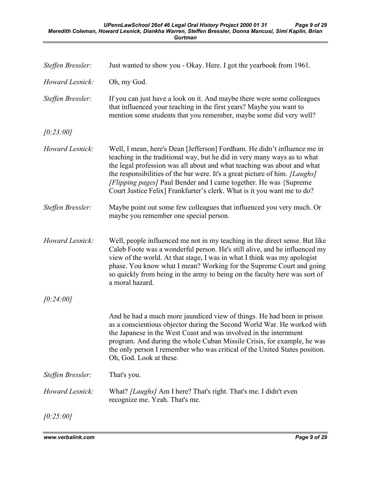| Steffen Bressler: | Just wanted to show you - Okay. Here. I got the yearbook from 1961.                                                                                                                                                                                                                                                                                                                                                                                             |
|-------------------|-----------------------------------------------------------------------------------------------------------------------------------------------------------------------------------------------------------------------------------------------------------------------------------------------------------------------------------------------------------------------------------------------------------------------------------------------------------------|
| Howard Lesnick:   | Oh, my God.                                                                                                                                                                                                                                                                                                                                                                                                                                                     |
| Steffen Bressler: | If you can just have a look on it. And maybe there were some colleagues<br>that influenced your teaching in the first years? Maybe you want to<br>mention some students that you remember, maybe some did very well?                                                                                                                                                                                                                                            |
| [0:23:00]         |                                                                                                                                                                                                                                                                                                                                                                                                                                                                 |
| Howard Lesnick:   | Well, I mean, here's Dean [Jefferson] Fordham. He didn't influence me in<br>teaching in the traditional way, but he did in very many ways as to what<br>the legal profession was all about and what teaching was about and what<br>the responsibilities of the bar were. It's a great picture of him. [Laughs]<br>[Flipping pages] Paul Bender and I came together. He was {Supreme}<br>Court Justice Felix] Frankfurter's clerk. What is it you want me to do? |
| Steffen Bressler: | Maybe point out some few colleagues that influenced you very much. Or<br>maybe you remember one special person.                                                                                                                                                                                                                                                                                                                                                 |
| Howard Lesnick:   | Well, people influenced me not in my teaching in the direct sense. But like<br>Caleb Foote was a wonderful person. He's still alive, and he influenced my<br>view of the world. At that stage, I was in what I think was my apologist<br>phase. You know what I mean? Working for the Supreme Court and going<br>so quickly from being in the army to being on the faculty here was sort of<br>a moral hazard.                                                  |
| [0:24:00]         |                                                                                                                                                                                                                                                                                                                                                                                                                                                                 |
|                   | And he had a much more jaundiced view of things. He had been in prison<br>as a conscientious objector during the Second World War. He worked with<br>the Japanese in the West Coast and was involved in the internment<br>program. And during the whole Cuban Missile Crisis, for example, he was<br>the only person I remember who was critical of the United States position.<br>Oh, God. Look at these.                                                      |
| Steffen Bressler: | That's you.                                                                                                                                                                                                                                                                                                                                                                                                                                                     |
| Howard Lesnick:   | What? <i>[Laughs]</i> Am I here? That's right. That's me. I didn't even<br>recognize me. Yeah. That's me.                                                                                                                                                                                                                                                                                                                                                       |
| [0:25:00]         |                                                                                                                                                                                                                                                                                                                                                                                                                                                                 |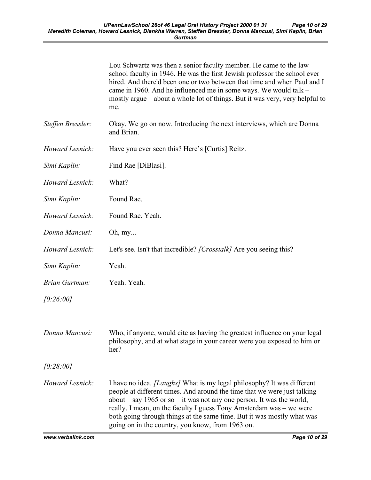|                       | Lou Schwartz was then a senior faculty member. He came to the law<br>school faculty in 1946. He was the first Jewish professor the school ever<br>hired. And there'd been one or two between that time and when Paul and I<br>came in 1960. And he influenced me in some ways. We would talk –<br>mostly argue – about a whole lot of things. But it was very, very helpful to<br>me.                                                       |
|-----------------------|---------------------------------------------------------------------------------------------------------------------------------------------------------------------------------------------------------------------------------------------------------------------------------------------------------------------------------------------------------------------------------------------------------------------------------------------|
| Steffen Bressler:     | Okay. We go on now. Introducing the next interviews, which are Donna<br>and Brian.                                                                                                                                                                                                                                                                                                                                                          |
| Howard Lesnick:       | Have you ever seen this? Here's [Curtis] Reitz.                                                                                                                                                                                                                                                                                                                                                                                             |
| Simi Kaplin:          | Find Rae [DiBlasi].                                                                                                                                                                                                                                                                                                                                                                                                                         |
| Howard Lesnick:       | What?                                                                                                                                                                                                                                                                                                                                                                                                                                       |
| Simi Kaplin:          | Found Rae.                                                                                                                                                                                                                                                                                                                                                                                                                                  |
| Howard Lesnick:       | Found Rae. Yeah.                                                                                                                                                                                                                                                                                                                                                                                                                            |
| Donna Mancusi:        | Oh, my                                                                                                                                                                                                                                                                                                                                                                                                                                      |
| Howard Lesnick:       | Let's see. Isn't that incredible? [Crosstalk] Are you seeing this?                                                                                                                                                                                                                                                                                                                                                                          |
| Simi Kaplin:          | Yeah.                                                                                                                                                                                                                                                                                                                                                                                                                                       |
| <b>Brian Gurtman:</b> | Yeah. Yeah.                                                                                                                                                                                                                                                                                                                                                                                                                                 |
| [0:26:00]             |                                                                                                                                                                                                                                                                                                                                                                                                                                             |
| Donna Mancusi:        | Who, if anyone, would cite as having the greatest influence on your legal<br>philosophy, and at what stage in your career were you exposed to him or<br>her?                                                                                                                                                                                                                                                                                |
| [0:28:00]             |                                                                                                                                                                                                                                                                                                                                                                                                                                             |
| Howard Lesnick:       | I have no idea. <i>[Laughs]</i> What is my legal philosophy? It was different<br>people at different times. And around the time that we were just talking<br>about $-$ say 1965 or so $-$ it was not any one person. It was the world,<br>really. I mean, on the faculty I guess Tony Amsterdam was – we were<br>both going through things at the same time. But it was mostly what was<br>going on in the country, you know, from 1963 on. |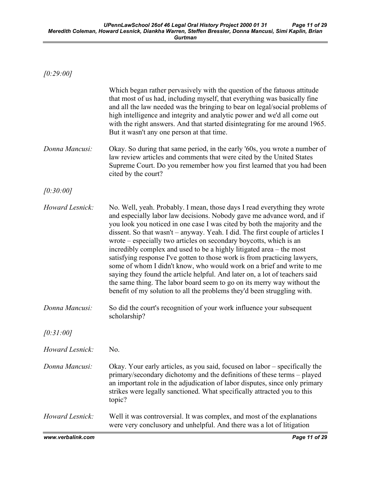$[0:29:00]$ 

|                 | Which began rather pervasively with the question of the fatuous attitude<br>that most of us had, including myself, that everything was basically fine<br>and all the law needed was the bringing to bear on legal/social problems of<br>high intelligence and integrity and analytic power and we'd all come out<br>with the right answers. And that started disintegrating for me around 1965.<br>But it wasn't any one person at that time.                                                                                                                                                                                                                                                                                                                                                                                                               |
|-----------------|-------------------------------------------------------------------------------------------------------------------------------------------------------------------------------------------------------------------------------------------------------------------------------------------------------------------------------------------------------------------------------------------------------------------------------------------------------------------------------------------------------------------------------------------------------------------------------------------------------------------------------------------------------------------------------------------------------------------------------------------------------------------------------------------------------------------------------------------------------------|
| Donna Mancusi:  | Okay. So during that same period, in the early '60s, you wrote a number of<br>law review articles and comments that were cited by the United States<br>Supreme Court. Do you remember how you first learned that you had been<br>cited by the court?                                                                                                                                                                                                                                                                                                                                                                                                                                                                                                                                                                                                        |
| [0:30:00]       |                                                                                                                                                                                                                                                                                                                                                                                                                                                                                                                                                                                                                                                                                                                                                                                                                                                             |
| Howard Lesnick: | No. Well, yeah. Probably. I mean, those days I read everything they wrote<br>and especially labor law decisions. Nobody gave me advance word, and if<br>you look you noticed in one case I was cited by both the majority and the<br>dissent. So that wasn't – anyway. Yeah. I did. The first couple of articles I<br>wrote – especially two articles on secondary boycotts, which is an<br>incredibly complex and used to be a highly litigated area – the most<br>satisfying response I've gotten to those work is from practicing lawyers,<br>some of whom I didn't know, who would work on a brief and write to me<br>saying they found the article helpful. And later on, a lot of teachers said<br>the same thing. The labor board seem to go on its merry way without the<br>benefit of my solution to all the problems they'd been struggling with. |
| Donna Mancusi:  | So did the court's recognition of your work influence your subsequent<br>scholarship?                                                                                                                                                                                                                                                                                                                                                                                                                                                                                                                                                                                                                                                                                                                                                                       |
| [0:31:00]       |                                                                                                                                                                                                                                                                                                                                                                                                                                                                                                                                                                                                                                                                                                                                                                                                                                                             |
| Howard Lesnick: | No.                                                                                                                                                                                                                                                                                                                                                                                                                                                                                                                                                                                                                                                                                                                                                                                                                                                         |
| Donna Mancusi:  | Okay. Your early articles, as you said, focused on labor – specifically the<br>primary/secondary dichotomy and the definitions of these terms - played<br>an important role in the adjudication of labor disputes, since only primary<br>strikes were legally sanctioned. What specifically attracted you to this<br>topic?                                                                                                                                                                                                                                                                                                                                                                                                                                                                                                                                 |
| Howard Lesnick: | Well it was controversial. It was complex, and most of the explanations<br>were very conclusory and unhelpful. And there was a lot of litigation                                                                                                                                                                                                                                                                                                                                                                                                                                                                                                                                                                                                                                                                                                            |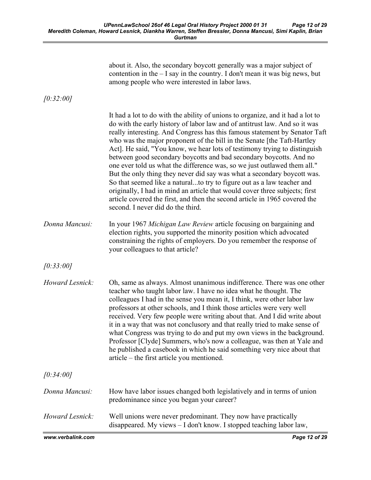| about it. Also, the secondary boycott generally was a major subject of<br>contention in the $-$ I say in the country. I don't mean it was big news, but<br>among people who were interested in labor laws. |
|------------------------------------------------------------------------------------------------------------------------------------------------------------------------------------------------------------|
|------------------------------------------------------------------------------------------------------------------------------------------------------------------------------------------------------------|

[0:32:00]

| www.verbalink.com | Page 12 of 29                                                                                                                                                                                                                                                                                                                                                                                                                                                                                                                                                                                                                                                                                                                                                                                                                                                                                               |
|-------------------|-------------------------------------------------------------------------------------------------------------------------------------------------------------------------------------------------------------------------------------------------------------------------------------------------------------------------------------------------------------------------------------------------------------------------------------------------------------------------------------------------------------------------------------------------------------------------------------------------------------------------------------------------------------------------------------------------------------------------------------------------------------------------------------------------------------------------------------------------------------------------------------------------------------|
| Howard Lesnick:   | Well unions were never predominant. They now have practically<br>disappeared. My views - I don't know. I stopped teaching labor law,                                                                                                                                                                                                                                                                                                                                                                                                                                                                                                                                                                                                                                                                                                                                                                        |
| Donna Mancusi:    | How have labor issues changed both legislatively and in terms of union<br>predominance since you began your career?                                                                                                                                                                                                                                                                                                                                                                                                                                                                                                                                                                                                                                                                                                                                                                                         |
| [0:34:00]         |                                                                                                                                                                                                                                                                                                                                                                                                                                                                                                                                                                                                                                                                                                                                                                                                                                                                                                             |
| Howard Lesnick:   | Oh, same as always. Almost unanimous indifference. There was one other<br>teacher who taught labor law. I have no idea what he thought. The<br>colleagues I had in the sense you mean it, I think, were other labor law<br>professors at other schools, and I think those articles were very well<br>received. Very few people were writing about that. And I did write about<br>it in a way that was not conclusory and that really tried to make sense of<br>what Congress was trying to do and put my own views in the background.<br>Professor [Clyde] Summers, who's now a colleague, was then at Yale and<br>he published a casebook in which he said something very nice about that<br>article – the first article you mentioned.                                                                                                                                                                    |
| [0:33:00]         |                                                                                                                                                                                                                                                                                                                                                                                                                                                                                                                                                                                                                                                                                                                                                                                                                                                                                                             |
| Donna Mancusi:    | In your 1967 Michigan Law Review article focusing on bargaining and<br>election rights, you supported the minority position which advocated<br>constraining the rights of employers. Do you remember the response of<br>your colleagues to that article?                                                                                                                                                                                                                                                                                                                                                                                                                                                                                                                                                                                                                                                    |
|                   | It had a lot to do with the ability of unions to organize, and it had a lot to<br>do with the early history of labor law and of antitrust law. And so it was<br>really interesting. And Congress has this famous statement by Senator Taft<br>who was the major proponent of the bill in the Senate [the Taft-Hartley<br>Act]. He said, "You know, we hear lots of testimony trying to distinguish<br>between good secondary boycotts and bad secondary boycotts. And no<br>one ever told us what the difference was, so we just outlawed them all."<br>But the only thing they never did say was what a secondary boycott was.<br>So that seemed like a naturalto try to figure out as a law teacher and<br>originally, I had in mind an article that would cover three subjects; first<br>article covered the first, and then the second article in 1965 covered the<br>second. I never did do the third. |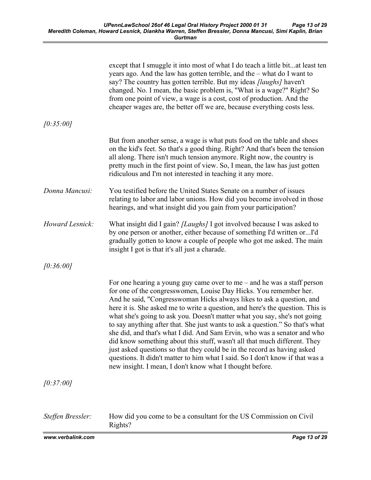|                   | except that I smuggle it into most of what I do teach a little bitat least ten<br>years ago. And the law has gotten terrible, and the – what do I want to<br>say? The country has gotten terrible. But my ideas <i>[laughs]</i> haven't<br>changed. No. I mean, the basic problem is, "What is a wage?" Right? So<br>from one point of view, a wage is a cost, cost of production. And the<br>cheaper wages are, the better off we are, because everything costs less.                                                                                                                                                                                                                                                                                                                                                                                    |
|-------------------|-----------------------------------------------------------------------------------------------------------------------------------------------------------------------------------------------------------------------------------------------------------------------------------------------------------------------------------------------------------------------------------------------------------------------------------------------------------------------------------------------------------------------------------------------------------------------------------------------------------------------------------------------------------------------------------------------------------------------------------------------------------------------------------------------------------------------------------------------------------|
| [0:35:00]         |                                                                                                                                                                                                                                                                                                                                                                                                                                                                                                                                                                                                                                                                                                                                                                                                                                                           |
|                   | But from another sense, a wage is what puts food on the table and shoes<br>on the kid's feet. So that's a good thing. Right? And that's been the tension<br>all along. There isn't much tension anymore. Right now, the country is<br>pretty much in the first point of view. So, I mean, the law has just gotten<br>ridiculous and I'm not interested in teaching it any more.                                                                                                                                                                                                                                                                                                                                                                                                                                                                           |
| Donna Mancusi:    | You testified before the United States Senate on a number of issues<br>relating to labor and labor unions. How did you become involved in those<br>hearings, and what insight did you gain from your participation?                                                                                                                                                                                                                                                                                                                                                                                                                                                                                                                                                                                                                                       |
| Howard Lesnick:   | What insight did I gain? [Laughs] I got involved because I was asked to<br>by one person or another, either because of something I'd written orI'd<br>gradually gotten to know a couple of people who got me asked. The main<br>insight I got is that it's all just a charade.                                                                                                                                                                                                                                                                                                                                                                                                                                                                                                                                                                            |
| [0:36:00]         |                                                                                                                                                                                                                                                                                                                                                                                                                                                                                                                                                                                                                                                                                                                                                                                                                                                           |
|                   | For one hearing a young guy came over to me $-$ and he was a staff person<br>for one of the congresswomen, Louise Day Hicks. You remember her.<br>And he said, "Congresswoman Hicks always likes to ask a question, and<br>here it is. She asked me to write a question, and here's the question. This is<br>what she's going to ask you. Doesn't matter what you say, she's not going<br>to say anything after that. She just wants to ask a question." So that's what<br>she did, and that's what I did. And Sam Ervin, who was a senator and who<br>did know something about this stuff, wasn't all that much different. They<br>just asked questions so that they could be in the record as having asked<br>questions. It didn't matter to him what I said. So I don't know if that was a<br>new insight. I mean, I don't know what I thought before. |
| [0:37:00]         |                                                                                                                                                                                                                                                                                                                                                                                                                                                                                                                                                                                                                                                                                                                                                                                                                                                           |
|                   |                                                                                                                                                                                                                                                                                                                                                                                                                                                                                                                                                                                                                                                                                                                                                                                                                                                           |
| Steffen Bressler: | How did you come to be a consultant for the US Commission on Civil<br>Rights?                                                                                                                                                                                                                                                                                                                                                                                                                                                                                                                                                                                                                                                                                                                                                                             |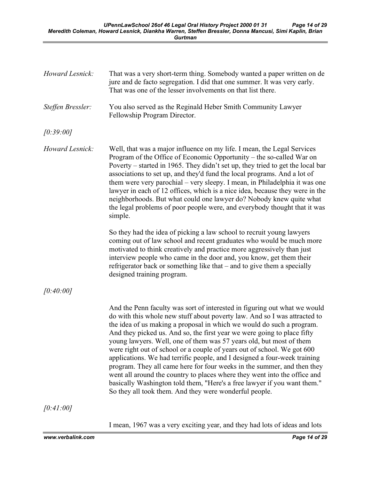| Howard Lesnick:   | That was a very short-term thing. Somebody wanted a paper written on de<br>jure and de facto segregation. I did that one summer. It was very early.<br>That was one of the lesser involvements on that list there.                                                                                                                                                                                                                                                                                                                                                                                                                                                                                                                                                                                                                      |
|-------------------|-----------------------------------------------------------------------------------------------------------------------------------------------------------------------------------------------------------------------------------------------------------------------------------------------------------------------------------------------------------------------------------------------------------------------------------------------------------------------------------------------------------------------------------------------------------------------------------------------------------------------------------------------------------------------------------------------------------------------------------------------------------------------------------------------------------------------------------------|
| Steffen Bressler: | You also served as the Reginald Heber Smith Community Lawyer<br>Fellowship Program Director.                                                                                                                                                                                                                                                                                                                                                                                                                                                                                                                                                                                                                                                                                                                                            |
| [0:39:00]         |                                                                                                                                                                                                                                                                                                                                                                                                                                                                                                                                                                                                                                                                                                                                                                                                                                         |
| Howard Lesnick:   | Well, that was a major influence on my life. I mean, the Legal Services<br>Program of the Office of Economic Opportunity – the so-called War on<br>Poverty – started in 1965. They didn't set up, they tried to get the local bar<br>associations to set up, and they'd fund the local programs. And a lot of<br>them were very parochial – very sleepy. I mean, in Philadelphia it was one<br>lawyer in each of 12 offices, which is a nice idea, because they were in the<br>neighborhoods. But what could one lawyer do? Nobody knew quite what<br>the legal problems of poor people were, and everybody thought that it was<br>simple.                                                                                                                                                                                              |
|                   | So they had the idea of picking a law school to recruit young lawyers<br>coming out of law school and recent graduates who would be much more<br>motivated to think creatively and practice more aggressively than just<br>interview people who came in the door and, you know, get them their<br>refrigerator back or something like that – and to give them a specially<br>designed training program.                                                                                                                                                                                                                                                                                                                                                                                                                                 |
| [0:40:00]         |                                                                                                                                                                                                                                                                                                                                                                                                                                                                                                                                                                                                                                                                                                                                                                                                                                         |
|                   | And the Penn faculty was sort of interested in figuring out what we would<br>do with this whole new stuff about poverty law. And so I was attracted to<br>the idea of us making a proposal in which we would do such a program.<br>And they picked us. And so, the first year we were going to place fifty<br>young lawyers. Well, one of them was 57 years old, but most of them<br>were right out of school or a couple of years out of school. We got 600<br>applications. We had terrific people, and I designed a four-week training<br>program. They all came here for four weeks in the summer, and then they<br>went all around the country to places where they went into the office and<br>basically Washington told them, "Here's a free lawyer if you want them."<br>So they all took them. And they were wonderful people. |
| [0:41:00]         |                                                                                                                                                                                                                                                                                                                                                                                                                                                                                                                                                                                                                                                                                                                                                                                                                                         |
|                   | I mean, 1967 was a very exciting year, and they had lots of ideas and lots                                                                                                                                                                                                                                                                                                                                                                                                                                                                                                                                                                                                                                                                                                                                                              |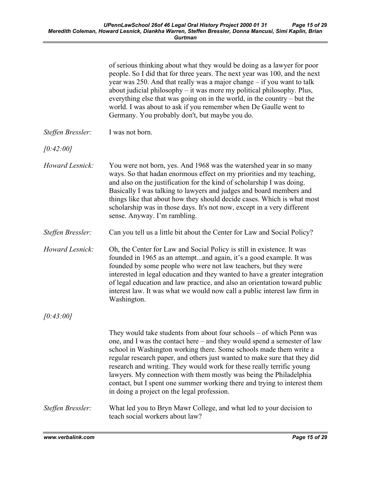|                   | of serious thinking about what they would be doing as a lawyer for poor<br>people. So I did that for three years. The next year was 100, and the next<br>year was 250. And that really was a major change - if you want to talk<br>about judicial philosophy - it was more my political philosophy. Plus,<br>everything else that was going on in the world, in the country – but the<br>world. I was about to ask if you remember when De Gaulle went to<br>Germany. You probably don't, but maybe you do.                                                                    |
|-------------------|--------------------------------------------------------------------------------------------------------------------------------------------------------------------------------------------------------------------------------------------------------------------------------------------------------------------------------------------------------------------------------------------------------------------------------------------------------------------------------------------------------------------------------------------------------------------------------|
| Steffen Bressler: | I was not born.                                                                                                                                                                                                                                                                                                                                                                                                                                                                                                                                                                |
| [0:42:00]         |                                                                                                                                                                                                                                                                                                                                                                                                                                                                                                                                                                                |
| Howard Lesnick:   | You were not born, yes. And 1968 was the watershed year in so many<br>ways. So that hadan enormous effect on my priorities and my teaching,<br>and also on the justification for the kind of scholarship I was doing.<br>Basically I was talking to lawyers and judges and board members and<br>things like that about how they should decide cases. Which is what most<br>scholarship was in those days. It's not now, except in a very different<br>sense. Anyway. I'm rambling.                                                                                             |
| Steffen Bressler: | Can you tell us a little bit about the Center for Law and Social Policy?                                                                                                                                                                                                                                                                                                                                                                                                                                                                                                       |
| Howard Lesnick:   | Oh, the Center for Law and Social Policy is still in existence. It was<br>founded in 1965 as an attemptand again, it's a good example. It was<br>founded by some people who were not law teachers, but they were<br>interested in legal education and they wanted to have a greater integration<br>of legal education and law practice, and also an orientation toward public<br>interest law. It was what we would now call a public interest law firm in<br>Washington.                                                                                                      |
| [0:43:00]         |                                                                                                                                                                                                                                                                                                                                                                                                                                                                                                                                                                                |
|                   | They would take students from about four schools – of which Penn was<br>one, and I was the contact here - and they would spend a semester of law<br>school in Washington working there. Some schools made them write a<br>regular research paper, and others just wanted to make sure that they did<br>research and writing. They would work for these really terrific young<br>lawyers. My connection with them mostly was being the Philadelphia<br>contact, but I spent one summer working there and trying to interest them<br>in doing a project on the legal profession. |
| Steffen Bressler: | What led you to Bryn Mawr College, and what led to your decision to<br>teach social workers about law?                                                                                                                                                                                                                                                                                                                                                                                                                                                                         |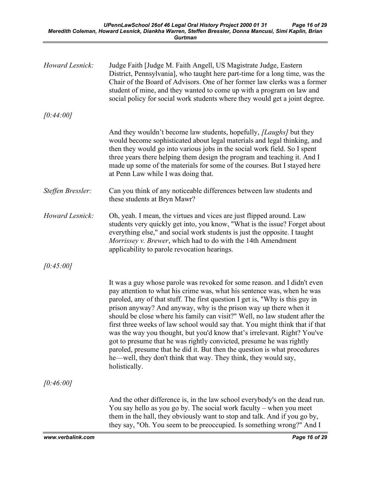| Howard Lesnick:   | Judge Faith [Judge M. Faith Angell, US Magistrate Judge, Eastern<br>District, Pennsylvania], who taught here part-time for a long time, was the<br>Chair of the Board of Advisors. One of her former law clerks was a former<br>student of mine, and they wanted to come up with a program on law and<br>social policy for social work students where they would get a joint degree.                                                                                                                                                                                                                                                                                                                                                                                                         |
|-------------------|----------------------------------------------------------------------------------------------------------------------------------------------------------------------------------------------------------------------------------------------------------------------------------------------------------------------------------------------------------------------------------------------------------------------------------------------------------------------------------------------------------------------------------------------------------------------------------------------------------------------------------------------------------------------------------------------------------------------------------------------------------------------------------------------|
| [0:44:00]         |                                                                                                                                                                                                                                                                                                                                                                                                                                                                                                                                                                                                                                                                                                                                                                                              |
|                   | And they wouldn't become law students, hopefully, <i>[Laughs]</i> but they<br>would become sophisticated about legal materials and legal thinking, and<br>then they would go into various jobs in the social work field. So I spent<br>three years there helping them design the program and teaching it. And I<br>made up some of the materials for some of the courses. But I stayed here<br>at Penn Law while I was doing that.                                                                                                                                                                                                                                                                                                                                                           |
| Steffen Bressler: | Can you think of any noticeable differences between law students and<br>these students at Bryn Mawr?                                                                                                                                                                                                                                                                                                                                                                                                                                                                                                                                                                                                                                                                                         |
| Howard Lesnick:   | Oh, yeah. I mean, the virtues and vices are just flipped around. Law<br>students very quickly get into, you know, "What is the issue? Forget about<br>everything else," and social work students is just the opposite. I taught<br>Morrissey v. Brewer, which had to do with the 14th Amendment<br>applicability to parole revocation hearings.                                                                                                                                                                                                                                                                                                                                                                                                                                              |
| [0:45:00]         |                                                                                                                                                                                                                                                                                                                                                                                                                                                                                                                                                                                                                                                                                                                                                                                              |
|                   | It was a guy whose parole was revoked for some reason. and I didn't even<br>pay attention to what his crime was, what his sentence was, when he was<br>paroled, any of that stuff. The first question I get is, "Why is this guy in<br>prison anyway? And anyway, why is the prison way up there when it<br>should be close where his family can visit?" Well, no law student after the<br>first three weeks of law school would say that. You might think that if that<br>was the way you thought, but you'd know that's irrelevant. Right? You've<br>got to presume that he was rightly convicted, presume he was rightly<br>paroled, presume that he did it. But then the question is what procedures<br>he—well, they don't think that way. They think, they would say,<br>holistically. |
| [0:46:00]         |                                                                                                                                                                                                                                                                                                                                                                                                                                                                                                                                                                                                                                                                                                                                                                                              |
|                   | And the other difference is, in the law school everybody's on the dead run.<br>You say hello as you go by. The social work faculty – when you meet<br>them in the hall, they obviously want to stop and talk. And if you go by,<br>they say, "Oh. You seem to be preoccupied. Is something wrong?" And I                                                                                                                                                                                                                                                                                                                                                                                                                                                                                     |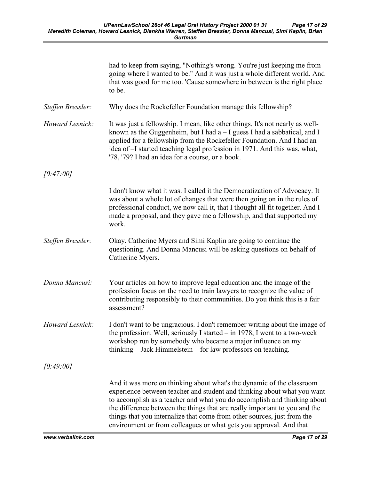|                   | had to keep from saying, "Nothing's wrong. You're just keeping me from<br>going where I wanted to be." And it was just a whole different world. And<br>that was good for me too. 'Cause somewhere in between is the right place<br>to be.                                                                                                                                                                                                                   |
|-------------------|-------------------------------------------------------------------------------------------------------------------------------------------------------------------------------------------------------------------------------------------------------------------------------------------------------------------------------------------------------------------------------------------------------------------------------------------------------------|
| Steffen Bressler: | Why does the Rockefeller Foundation manage this fellowship?                                                                                                                                                                                                                                                                                                                                                                                                 |
| Howard Lesnick:   | It was just a fellowship. I mean, like other things. It's not nearly as well-<br>known as the Guggenheim, but I had $a - I$ guess I had a sabbatical, and I<br>applied for a fellowship from the Rockefeller Foundation. And I had an<br>idea of -I started teaching legal profession in 1971. And this was, what,<br>'78, '79? I had an idea for a course, or a book.                                                                                      |
| [0:47:00]         |                                                                                                                                                                                                                                                                                                                                                                                                                                                             |
|                   | I don't know what it was. I called it the Democratization of Advocacy. It<br>was about a whole lot of changes that were then going on in the rules of<br>professional conduct, we now call it, that I thought all fit together. And I<br>made a proposal, and they gave me a fellowship, and that supported my<br>work.                                                                                                                                     |
| Steffen Bressler: | Okay. Catherine Myers and Simi Kaplin are going to continue the<br>questioning. And Donna Mancusi will be asking questions on behalf of<br>Catherine Myers.                                                                                                                                                                                                                                                                                                 |
| Donna Mancusi:    | Your articles on how to improve legal education and the image of the<br>profession focus on the need to train lawyers to recognize the value of<br>contributing responsibly to their communities. Do you think this is a fair<br>assessment?                                                                                                                                                                                                                |
| Howard Lesnick:   | I don't want to be ungracious. I don't remember writing about the image of<br>the profession. Well, seriously I started - in 1978, I went to a two-week<br>workshop run by somebody who became a major influence on my<br>thinking – Jack Himmelstein – for law professors on teaching.                                                                                                                                                                     |
| [0:49:00]         |                                                                                                                                                                                                                                                                                                                                                                                                                                                             |
|                   | And it was more on thinking about what's the dynamic of the classroom<br>experience between teacher and student and thinking about what you want<br>to accomplish as a teacher and what you do accomplish and thinking about<br>the difference between the things that are really important to you and the<br>things that you internalize that come from other sources, just from the<br>environment or from colleagues or what gets you approval. And that |

www.verbalink.com Page 17 of 29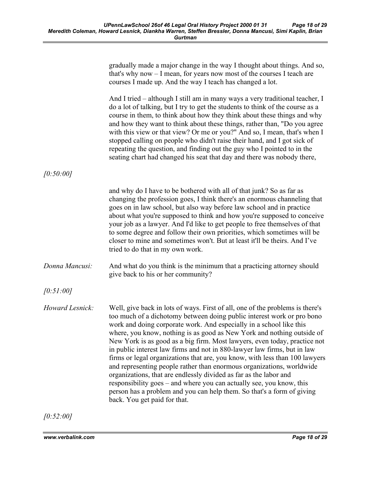| gradually made a major change in the way I thought about things. And so,                                                                                                                                                                                                                                                                                                                                                                                                                                                                                                                                                                                                                                                                                                                                                                                                         |
|----------------------------------------------------------------------------------------------------------------------------------------------------------------------------------------------------------------------------------------------------------------------------------------------------------------------------------------------------------------------------------------------------------------------------------------------------------------------------------------------------------------------------------------------------------------------------------------------------------------------------------------------------------------------------------------------------------------------------------------------------------------------------------------------------------------------------------------------------------------------------------|
| that's why now - I mean, for years now most of the courses I teach are<br>courses I made up. And the way I teach has changed a lot.                                                                                                                                                                                                                                                                                                                                                                                                                                                                                                                                                                                                                                                                                                                                              |
| And I tried - although I still am in many ways a very traditional teacher, I<br>do a lot of talking, but I try to get the students to think of the course as a<br>course in them, to think about how they think about these things and why<br>and how they want to think about these things, rather than, "Do you agree<br>with this view or that view? Or me or you?" And so, I mean, that's when I<br>stopped calling on people who didn't raise their hand, and I got sick of<br>repeating the question, and finding out the guy who I pointed to in the<br>seating chart had changed his seat that day and there was nobody there,                                                                                                                                                                                                                                           |
|                                                                                                                                                                                                                                                                                                                                                                                                                                                                                                                                                                                                                                                                                                                                                                                                                                                                                  |
| and why do I have to be bothered with all of that junk? So as far as<br>changing the profession goes, I think there's an enormous channeling that<br>goes on in law school, but also way before law school and in practice<br>about what you're supposed to think and how you're supposed to conceive<br>your job as a lawyer. And I'd like to get people to free themselves of that<br>to some degree and follow their own priorities, which sometimes will be<br>closer to mine and sometimes won't. But at least it'll be theirs. And I've<br>tried to do that in my own work.                                                                                                                                                                                                                                                                                                |
| And what do you think is the minimum that a practicing attorney should<br>give back to his or her community?                                                                                                                                                                                                                                                                                                                                                                                                                                                                                                                                                                                                                                                                                                                                                                     |
|                                                                                                                                                                                                                                                                                                                                                                                                                                                                                                                                                                                                                                                                                                                                                                                                                                                                                  |
| Well, give back in lots of ways. First of all, one of the problems is there's<br>too much of a dichotomy between doing public interest work or pro bono<br>work and doing corporate work. And especially in a school like this<br>where, you know, nothing is as good as New York and nothing outside of<br>New York is as good as a big firm. Most lawyers, even today, practice not<br>in public interest law firms and not in 880-lawyer law firms, but in law<br>firms or legal organizations that are, you know, with less than 100 lawyers<br>and representing people rather than enormous organizations, worldwide<br>organizations, that are endlessly divided as far as the labor and<br>responsibility goes – and where you can actually see, you know, this<br>person has a problem and you can help them. So that's a form of giving<br>back. You get paid for that. |
|                                                                                                                                                                                                                                                                                                                                                                                                                                                                                                                                                                                                                                                                                                                                                                                                                                                                                  |

 $[0:52:00]$ 

www.verbalink.com Page 18 of 29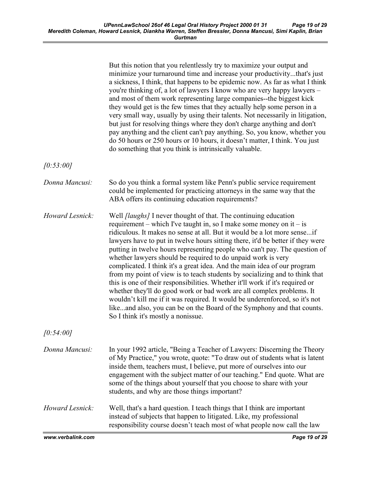|                   | But this notion that you relentlessly try to maximize your output and<br>minimize your turnaround time and increase your productivitythat's just<br>a sickness, I think, that happens to be epidemic now. As far as what I think<br>you're thinking of, a lot of lawyers I know who are very happy lawyers -<br>and most of them work representing large companies--the biggest kick<br>they would get is the few times that they actually help some person in a<br>very small way, usually by using their talents. Not necessarily in litigation,<br>but just for resolving things where they don't charge anything and don't<br>pay anything and the client can't pay anything. So, you know, whether you<br>do 50 hours or 250 hours or 10 hours, it doesn't matter, I think. You just<br>do something that you think is intrinsically valuable.                                                                                                                           |
|-------------------|-------------------------------------------------------------------------------------------------------------------------------------------------------------------------------------------------------------------------------------------------------------------------------------------------------------------------------------------------------------------------------------------------------------------------------------------------------------------------------------------------------------------------------------------------------------------------------------------------------------------------------------------------------------------------------------------------------------------------------------------------------------------------------------------------------------------------------------------------------------------------------------------------------------------------------------------------------------------------------|
| [0:53:00]         |                                                                                                                                                                                                                                                                                                                                                                                                                                                                                                                                                                                                                                                                                                                                                                                                                                                                                                                                                                               |
| Donna Mancusi:    | So do you think a formal system like Penn's public service requirement<br>could be implemented for practicing attorneys in the same way that the<br>ABA offers its continuing education requirements?                                                                                                                                                                                                                                                                                                                                                                                                                                                                                                                                                                                                                                                                                                                                                                         |
| Howard Lesnick:   | Well <i>[laughs]</i> I never thought of that. The continuing education<br>requirement – which I've taught in, so I make some money on it – is<br>ridiculous. It makes no sense at all. But it would be a lot more senseif<br>lawyers have to put in twelve hours sitting there, it'd be better if they were<br>putting in twelve hours representing people who can't pay. The question of<br>whether lawyers should be required to do unpaid work is very<br>complicated. I think it's a great idea. And the main idea of our program<br>from my point of view is to teach students by socializing and to think that<br>this is one of their responsibilities. Whether it'll work if it's required or<br>whether they'll do good work or bad work are all complex problems. It<br>wouldn't kill me if it was required. It would be underenforced, so it's not<br>likeand also, you can be on the Board of the Symphony and that counts.<br>So I think it's mostly a nonissue. |
| [0:54:00]         |                                                                                                                                                                                                                                                                                                                                                                                                                                                                                                                                                                                                                                                                                                                                                                                                                                                                                                                                                                               |
| Donna Mancusi:    | In your 1992 article, "Being a Teacher of Lawyers: Discerning the Theory<br>of My Practice," you wrote, quote: "To draw out of students what is latent<br>inside them, teachers must, I believe, put more of ourselves into our<br>engagement with the subject matter of our teaching." End quote. What are<br>some of the things about yourself that you choose to share with your<br>students, and why are those things important?                                                                                                                                                                                                                                                                                                                                                                                                                                                                                                                                          |
| Howard Lesnick:   | Well, that's a hard question. I teach things that I think are important<br>instead of subjects that happen to litigated. Like, my professional<br>responsibility course doesn't teach most of what people now call the law                                                                                                                                                                                                                                                                                                                                                                                                                                                                                                                                                                                                                                                                                                                                                    |
| www.verbalink.com | Page 19 of 29                                                                                                                                                                                                                                                                                                                                                                                                                                                                                                                                                                                                                                                                                                                                                                                                                                                                                                                                                                 |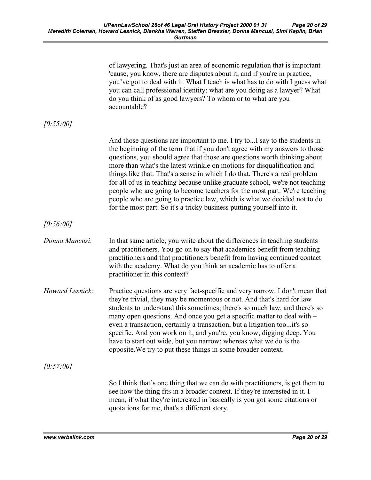|                 | of lawyering. That's just an area of economic regulation that is important<br>'cause, you know, there are disputes about it, and if you're in practice,<br>you've got to deal with it. What I teach is what has to do with I guess what<br>you can call professional identity: what are you doing as a lawyer? What<br>do you think of as good lawyers? To whom or to what are you<br>accountable?                                                                                                                                                                                                                                                                                                                |
|-----------------|-------------------------------------------------------------------------------------------------------------------------------------------------------------------------------------------------------------------------------------------------------------------------------------------------------------------------------------------------------------------------------------------------------------------------------------------------------------------------------------------------------------------------------------------------------------------------------------------------------------------------------------------------------------------------------------------------------------------|
| [0:55:00]       |                                                                                                                                                                                                                                                                                                                                                                                                                                                                                                                                                                                                                                                                                                                   |
|                 | And those questions are important to me. I try toI say to the students in<br>the beginning of the term that if you don't agree with my answers to those<br>questions, you should agree that those are questions worth thinking about<br>more than what's the latest wrinkle on motions for disqualification and<br>things like that. That's a sense in which I do that. There's a real problem<br>for all of us in teaching because unlike graduate school, we're not teaching<br>people who are going to become teachers for the most part. We're teaching<br>people who are going to practice law, which is what we decided not to do<br>for the most part. So it's a tricky business putting yourself into it. |
| [0:56:00]       |                                                                                                                                                                                                                                                                                                                                                                                                                                                                                                                                                                                                                                                                                                                   |
| Donna Mancusi:  | In that same article, you write about the differences in teaching students<br>and practitioners. You go on to say that academics benefit from teaching<br>practitioners and that practitioners benefit from having continued contact<br>with the academy. What do you think an academic has to offer a<br>practitioner in this context?                                                                                                                                                                                                                                                                                                                                                                           |
| Howard Lesnick: | Practice questions are very fact-specific and very narrow. I don't mean that<br>they're trivial, they may be momentous or not. And that's hard for law<br>students to understand this sometimes; there's so much law, and there's so<br>many open questions. And once you get a specific matter to deal with –<br>even a transaction, certainly a transaction, but a litigation tooit's so<br>specific. And you work on it, and you're, you know, digging deep. You<br>have to start out wide, but you narrow; whereas what we do is the<br>opposite. We try to put these things in some broader context.                                                                                                         |
| [0:57:00]       |                                                                                                                                                                                                                                                                                                                                                                                                                                                                                                                                                                                                                                                                                                                   |
|                 | So I think that's one thing that we can do with practitioners, is get them to<br>see how the thing fits in a broader context. If they're interested in it. I<br>mean, if what they're interested in basically is you got some citations or<br>quotations for me, that's a different story.                                                                                                                                                                                                                                                                                                                                                                                                                        |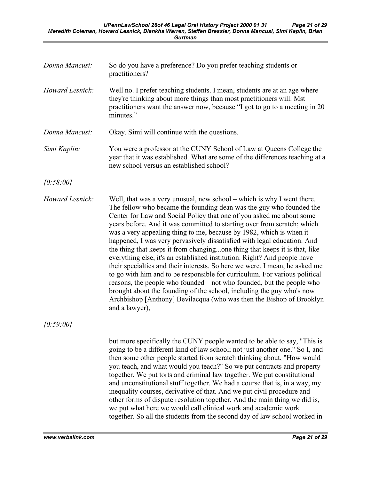| Donna Mancusi:  | So do you have a preference? Do you prefer teaching students or<br>practitioners?                                                                                                                                                                                                                                                                                                                                                                                                                                                                                                                                                                                                                                                                                                                                                                                                                                                                                                                                     |
|-----------------|-----------------------------------------------------------------------------------------------------------------------------------------------------------------------------------------------------------------------------------------------------------------------------------------------------------------------------------------------------------------------------------------------------------------------------------------------------------------------------------------------------------------------------------------------------------------------------------------------------------------------------------------------------------------------------------------------------------------------------------------------------------------------------------------------------------------------------------------------------------------------------------------------------------------------------------------------------------------------------------------------------------------------|
| Howard Lesnick: | Well no. I prefer teaching students. I mean, students are at an age where<br>they're thinking about more things than most practitioners will. Mst<br>practitioners want the answer now, because "I got to go to a meeting in 20<br>minutes."                                                                                                                                                                                                                                                                                                                                                                                                                                                                                                                                                                                                                                                                                                                                                                          |
| Donna Mancusi:  | Okay. Simi will continue with the questions.                                                                                                                                                                                                                                                                                                                                                                                                                                                                                                                                                                                                                                                                                                                                                                                                                                                                                                                                                                          |
| Simi Kaplin:    | You were a professor at the CUNY School of Law at Queens College the<br>year that it was established. What are some of the differences teaching at a<br>new school versus an established school?                                                                                                                                                                                                                                                                                                                                                                                                                                                                                                                                                                                                                                                                                                                                                                                                                      |
| [0:58:00]       |                                                                                                                                                                                                                                                                                                                                                                                                                                                                                                                                                                                                                                                                                                                                                                                                                                                                                                                                                                                                                       |
| Howard Lesnick: | Well, that was a very unusual, new school – which is why I went there.<br>The fellow who became the founding dean was the guy who founded the<br>Center for Law and Social Policy that one of you asked me about some<br>years before. And it was committed to starting over from scratch; which<br>was a very appealing thing to me, because by 1982, which is when it<br>happened, I was very pervasively dissatisfied with legal education. And<br>the thing that keeps it from changingone thing that keeps it is that, like<br>everything else, it's an established institution. Right? And people have<br>their specialties and their interests. So here we were. I mean, he asked me<br>to go with him and to be responsible for curriculum. For various political<br>reasons, the people who founded – not who founded, but the people who<br>brought about the founding of the school, including the guy who's now<br>Archbishop [Anthony] Bevilacqua (who was then the Bishop of Brooklyn<br>and a lawyer), |

[0:59:00]

but more specifically the CUNY people wanted to be able to say, "This is going to be a different kind of law school; not just another one." So I, and then some other people started from scratch thinking about, "How would you teach, and what would you teach?" So we put contracts and property together. We put torts and criminal law together. We put constitutional and unconstitutional stuff together. We had a course that is, in a way, my inequality courses, derivative of that. And we put civil procedure and other forms of dispute resolution together. And the main thing we did is, we put what here we would call clinical work and academic work together. So all the students from the second day of law school worked in

www.verbalink.com **Page 21 of 29**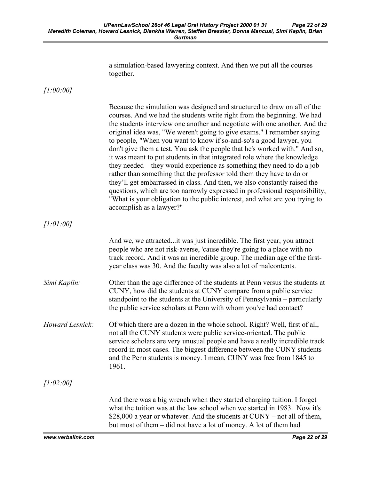|                 | a simulation-based lawyering context. And then we put all the courses<br>together.                                                                                                                                                                                                                                                                                                                                                                                                                                                                                                                                                                                                                                                                                                                                                                                                                                                                                     |
|-----------------|------------------------------------------------------------------------------------------------------------------------------------------------------------------------------------------------------------------------------------------------------------------------------------------------------------------------------------------------------------------------------------------------------------------------------------------------------------------------------------------------------------------------------------------------------------------------------------------------------------------------------------------------------------------------------------------------------------------------------------------------------------------------------------------------------------------------------------------------------------------------------------------------------------------------------------------------------------------------|
| [1:00:00]       |                                                                                                                                                                                                                                                                                                                                                                                                                                                                                                                                                                                                                                                                                                                                                                                                                                                                                                                                                                        |
|                 | Because the simulation was designed and structured to draw on all of the<br>courses. And we had the students write right from the beginning. We had<br>the students interview one another and negotiate with one another. And the<br>original idea was, "We weren't going to give exams." I remember saying<br>to people, "When you want to know if so-and-so's a good lawyer, you<br>don't give them a test. You ask the people that he's worked with." And so,<br>it was meant to put students in that integrated role where the knowledge<br>they needed – they would experience as something they need to do a job<br>rather than something that the professor told them they have to do or<br>they'll get embarrassed in class. And then, we also constantly raised the<br>questions, which are too narrowly expressed in professional responsibility,<br>"What is your obligation to the public interest, and what are you trying to<br>accomplish as a lawyer?" |
| [1:01:00]       |                                                                                                                                                                                                                                                                                                                                                                                                                                                                                                                                                                                                                                                                                                                                                                                                                                                                                                                                                                        |
|                 | And we, we attracted it was just incredible. The first year, you attract<br>people who are not risk-averse, 'cause they're going to a place with no<br>track record. And it was an incredible group. The median age of the first-<br>year class was 30. And the faculty was also a lot of malcontents.                                                                                                                                                                                                                                                                                                                                                                                                                                                                                                                                                                                                                                                                 |
| Simi Kaplin:    | Other than the age difference of the students at Penn versus the students at<br>CUNY, how did the students at CUNY compare from a public service<br>standpoint to the students at the University of Pennsylvania – particularly<br>the public service scholars at Penn with whom you've had contact?                                                                                                                                                                                                                                                                                                                                                                                                                                                                                                                                                                                                                                                                   |
| Howard Lesnick: | Of which there are a dozen in the whole school. Right? Well, first of all,<br>not all the CUNY students were public service-oriented. The public<br>service scholars are very unusual people and have a really incredible track<br>record in most cases. The biggest difference between the CUNY students<br>and the Penn students is money. I mean, CUNY was free from 1845 to<br>1961.                                                                                                                                                                                                                                                                                                                                                                                                                                                                                                                                                                               |
| [1:02:00]       |                                                                                                                                                                                                                                                                                                                                                                                                                                                                                                                                                                                                                                                                                                                                                                                                                                                                                                                                                                        |
|                 | And there was a big wrench when they started charging tuition. I forget<br>what the tuition was at the law school when we started in 1983. Now it's<br>\$28,000 a year or whatever. And the students at CUNY – not all of them,<br>but most of them – did not have a lot of money. A lot of them had                                                                                                                                                                                                                                                                                                                                                                                                                                                                                                                                                                                                                                                                   |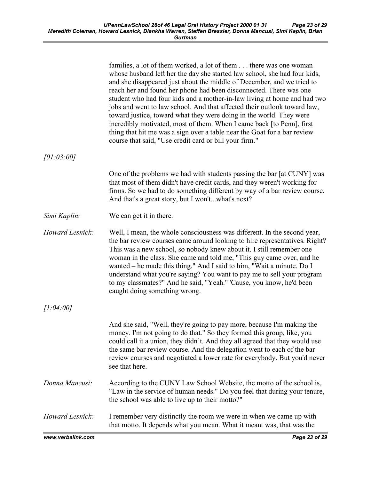|                 | families, a lot of them worked, a lot of them there was one woman<br>whose husband left her the day she started law school, she had four kids,<br>and she disappeared just about the middle of December, and we tried to<br>reach her and found her phone had been disconnected. There was one<br>student who had four kids and a mother-in-law living at home and had two<br>jobs and went to law school. And that affected their outlook toward law,<br>toward justice, toward what they were doing in the world. They were<br>incredibly motivated, most of them. When I came back [to Penn], first<br>thing that hit me was a sign over a table near the Goat for a bar review<br>course that said, "Use credit card or bill your firm." |
|-----------------|----------------------------------------------------------------------------------------------------------------------------------------------------------------------------------------------------------------------------------------------------------------------------------------------------------------------------------------------------------------------------------------------------------------------------------------------------------------------------------------------------------------------------------------------------------------------------------------------------------------------------------------------------------------------------------------------------------------------------------------------|
| [01:03:00]      |                                                                                                                                                                                                                                                                                                                                                                                                                                                                                                                                                                                                                                                                                                                                              |
|                 | One of the problems we had with students passing the bar [at CUNY] was<br>that most of them didn't have credit cards, and they weren't working for<br>firms. So we had to do something different by way of a bar review course.<br>And that's a great story, but I won'twhat's next?                                                                                                                                                                                                                                                                                                                                                                                                                                                         |
| Simi Kaplin:    | We can get it in there.                                                                                                                                                                                                                                                                                                                                                                                                                                                                                                                                                                                                                                                                                                                      |
| Howard Lesnick: | Well, I mean, the whole consciousness was different. In the second year,<br>the bar review courses came around looking to hire representatives. Right?<br>This was a new school, so nobody knew about it. I still remember one<br>woman in the class. She came and told me, "This guy came over, and he<br>wanted – he made this thing." And I said to him, "Wait a minute. Do I<br>understand what you're saying? You want to pay me to sell your program<br>to my classmates?" And he said, "Yeah." 'Cause, you know, he'd been<br>caught doing something wrong.                                                                                                                                                                           |
| [1:04:00]       |                                                                                                                                                                                                                                                                                                                                                                                                                                                                                                                                                                                                                                                                                                                                              |
|                 | And she said, "Well, they're going to pay more, because I'm making the<br>money. I'm not going to do that." So they formed this group, like, you<br>could call it a union, they didn't. And they all agreed that they would use<br>the same bar review course. And the delegation went to each of the bar<br>review courses and negotiated a lower rate for everybody. But you'd never<br>see that here.                                                                                                                                                                                                                                                                                                                                     |
| Donna Mancusi:  | According to the CUNY Law School Website, the motto of the school is,<br>"Law in the service of human needs." Do you feel that during your tenure,<br>the school was able to live up to their motto?"                                                                                                                                                                                                                                                                                                                                                                                                                                                                                                                                        |
| Howard Lesnick: | I remember very distinctly the room we were in when we came up with<br>that motto. It depends what you mean. What it meant was, that was the                                                                                                                                                                                                                                                                                                                                                                                                                                                                                                                                                                                                 |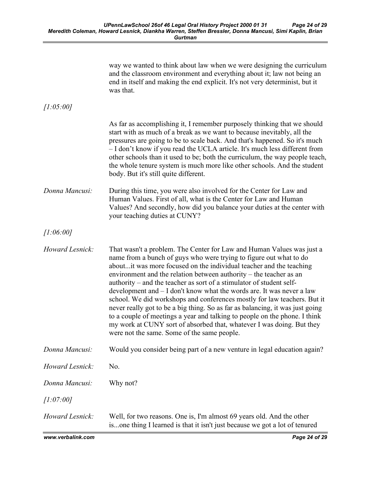|                 | way we wanted to think about law when we were designing the curriculum<br>and the classroom environment and everything about it; law not being an<br>end in itself and making the end explicit. It's not very determinist, but it<br>was that.                                                                                                                                                                                                                                                                                                                                                                                                                                                                                                                                                                 |
|-----------------|----------------------------------------------------------------------------------------------------------------------------------------------------------------------------------------------------------------------------------------------------------------------------------------------------------------------------------------------------------------------------------------------------------------------------------------------------------------------------------------------------------------------------------------------------------------------------------------------------------------------------------------------------------------------------------------------------------------------------------------------------------------------------------------------------------------|
| [1:05:00]       |                                                                                                                                                                                                                                                                                                                                                                                                                                                                                                                                                                                                                                                                                                                                                                                                                |
|                 | As far as accomplishing it, I remember purposely thinking that we should<br>start with as much of a break as we want to because inevitably, all the<br>pressures are going to be to scale back. And that's happened. So it's much<br>- I don't know if you read the UCLA article. It's much less different from<br>other schools than it used to be; both the curriculum, the way people teach,<br>the whole tenure system is much more like other schools. And the student<br>body. But it's still quite different.                                                                                                                                                                                                                                                                                           |
| Donna Mancusi:  | During this time, you were also involved for the Center for Law and<br>Human Values. First of all, what is the Center for Law and Human<br>Values? And secondly, how did you balance your duties at the center with<br>your teaching duties at CUNY?                                                                                                                                                                                                                                                                                                                                                                                                                                                                                                                                                           |
| [1:06:00]       |                                                                                                                                                                                                                                                                                                                                                                                                                                                                                                                                                                                                                                                                                                                                                                                                                |
| Howard Lesnick: | That wasn't a problem. The Center for Law and Human Values was just a<br>name from a bunch of guys who were trying to figure out what to do<br>aboutit was more focused on the individual teacher and the teaching<br>environment and the relation between authority – the teacher as an<br>authority – and the teacher as sort of a stimulator of student self-<br>development and $- I$ don't know what the words are. It was never a law<br>school. We did workshops and conferences mostly for law teachers. But it<br>never really got to be a big thing. So as far as balancing, it was just going<br>to a couple of meetings a year and talking to people on the phone. I think<br>my work at CUNY sort of absorbed that, whatever I was doing. But they<br>were not the same. Some of the same people. |
| Donna Mancusi:  | Would you consider being part of a new venture in legal education again?                                                                                                                                                                                                                                                                                                                                                                                                                                                                                                                                                                                                                                                                                                                                       |
| Howard Lesnick: | No.                                                                                                                                                                                                                                                                                                                                                                                                                                                                                                                                                                                                                                                                                                                                                                                                            |
| Donna Mancusi:  | Why not?                                                                                                                                                                                                                                                                                                                                                                                                                                                                                                                                                                                                                                                                                                                                                                                                       |
| [1:07:00]       |                                                                                                                                                                                                                                                                                                                                                                                                                                                                                                                                                                                                                                                                                                                                                                                                                |
| Howard Lesnick: | Well, for two reasons. One is, I'm almost 69 years old. And the other<br>isone thing I learned is that it isn't just because we got a lot of tenured                                                                                                                                                                                                                                                                                                                                                                                                                                                                                                                                                                                                                                                           |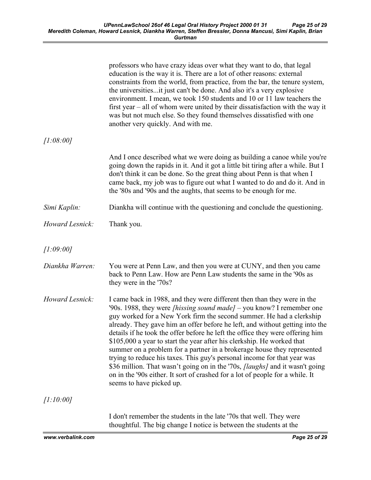|                 | professors who have crazy ideas over what they want to do, that legal<br>education is the way it is. There are a lot of other reasons: external<br>constraints from the world, from practice, from the bar, the tenure system,<br>the universitiesit just can't be done. And also it's a very explosive<br>environment. I mean, we took 150 students and 10 or 11 law teachers the<br>first year $-$ all of whom were united by their dissatisfaction with the way it<br>was but not much else. So they found themselves dissatisfied with one<br>another very quickly. And with me.                                                                                                                                                                                                                                                  |
|-----------------|---------------------------------------------------------------------------------------------------------------------------------------------------------------------------------------------------------------------------------------------------------------------------------------------------------------------------------------------------------------------------------------------------------------------------------------------------------------------------------------------------------------------------------------------------------------------------------------------------------------------------------------------------------------------------------------------------------------------------------------------------------------------------------------------------------------------------------------|
| [1:08:00]       |                                                                                                                                                                                                                                                                                                                                                                                                                                                                                                                                                                                                                                                                                                                                                                                                                                       |
|                 | And I once described what we were doing as building a canoe while you're<br>going down the rapids in it. And it got a little bit tiring after a while. But I<br>don't think it can be done. So the great thing about Penn is that when I<br>came back, my job was to figure out what I wanted to do and do it. And in<br>the '80s and '90s and the aughts, that seems to be enough for me.                                                                                                                                                                                                                                                                                                                                                                                                                                            |
| Simi Kaplin:    | Diankha will continue with the questioning and conclude the questioning.                                                                                                                                                                                                                                                                                                                                                                                                                                                                                                                                                                                                                                                                                                                                                              |
| Howard Lesnick: | Thank you.                                                                                                                                                                                                                                                                                                                                                                                                                                                                                                                                                                                                                                                                                                                                                                                                                            |
| [1:09:00]       |                                                                                                                                                                                                                                                                                                                                                                                                                                                                                                                                                                                                                                                                                                                                                                                                                                       |
| Diankha Warren: | You were at Penn Law, and then you were at CUNY, and then you came<br>back to Penn Law. How are Penn Law students the same in the '90s as<br>they were in the '70s?                                                                                                                                                                                                                                                                                                                                                                                                                                                                                                                                                                                                                                                                   |
| Howard Lesnick: | I came back in 1988, and they were different then than they were in the<br>'90s. 1988, they were <i>[hissing sound made]</i> – you know? I remember one<br>guy worked for a New York firm the second summer. He had a clerkship<br>already. They gave him an offer before he left, and without getting into the<br>details if he took the offer before he left the office they were offering him<br>\$105,000 a year to start the year after his clerkship. He worked that<br>summer on a problem for a partner in a brokerage house they represented<br>trying to reduce his taxes. This guy's personal income for that year was<br>\$36 million. That wasn't going on in the '70s, <i>[laughs]</i> and it wasn't going<br>on in the '90s either. It sort of crashed for a lot of people for a while. It<br>seems to have picked up. |
| [1:10:00]       |                                                                                                                                                                                                                                                                                                                                                                                                                                                                                                                                                                                                                                                                                                                                                                                                                                       |
|                 | I don't remember the students in the late '70s that well. They were                                                                                                                                                                                                                                                                                                                                                                                                                                                                                                                                                                                                                                                                                                                                                                   |

thoughtful. The big change I notice is between the students at the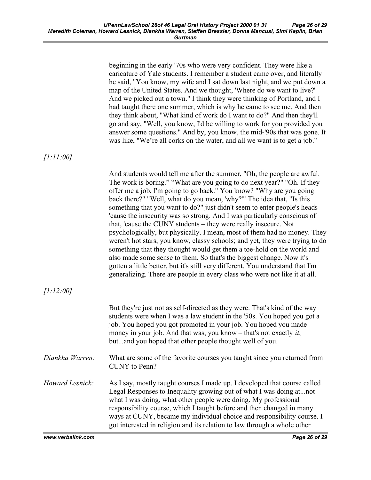beginning in the early '70s who were very confident. They were like a caricature of Yale students. I remember a student came over, and literally he said, "You know, my wife and I sat down last night, and we put down a map of the United States. And we thought, 'Where do we want to live?' And we picked out a town." I think they were thinking of Portland, and I had taught there one summer, which is why he came to see me. And then they think about, "What kind of work do I want to do?" And then they'll go and say, "Well, you know, I'd be willing to work for you provided you answer some questions." And by, you know, the mid-'90s that was gone. It was like, "We're all corks on the water, and all we want is to get a job." [1:11:00] And students would tell me after the summer, "Oh, the people are awful. The work is boring." "What are you going to do next year?" "Oh. If they offer me a job, I'm going to go back." You know? "Why are you going back there?" "Well, what do you mean, 'why?'" The idea that, "Is this something that you want to do?" just didn't seem to enter people's heads 'cause the insecurity was so strong. And I was particularly conscious of that, 'cause the CUNY students – they were really insecure. Not psychologically, but physically. I mean, most of them had no money. They weren't hot stars, you know, classy schools; and yet, they were trying to do something that they thought would get them a toe-hold on the world and also made some sense to them. So that's the biggest change. Now it's gotten a little better, but it's still very different. You understand that I'm generalizing. There are people in every class who were not like it at all.  $[1:12:00]$ But they're just not as self-directed as they were. That's kind of the way students were when I was a law student in the '50s. You hoped you got a job. You hoped you got promoted in your job. You hoped you made money in your job. And that was, you know – that's not exactly *it*, but...and you hoped that other people thought well of you. Diankha Warren: What are some of the favorite courses you taught since you returned from CUNY to Penn? Howard Lesnick: As I say, mostly taught courses I made up. I developed that course called Legal Responses to Inequality growing out of what I was doing at...not what I was doing, what other people were doing. My professional responsibility course, which I taught before and then changed in many ways at CUNY, became my individual choice and responsibility course. I got interested in religion and its relation to law through a whole other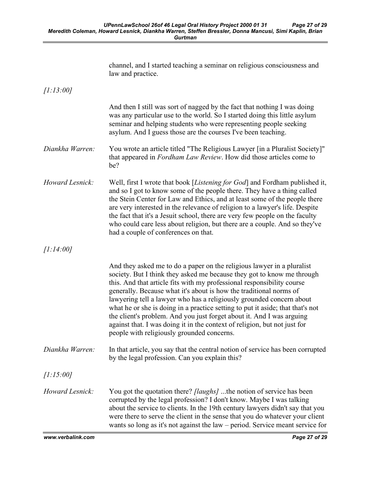|                 | channel, and I started teaching a seminar on religious consciousness and<br>law and practice.                                                                                                                                                                                                                                                                                                                                                                                                                                                                                                                                                                  |
|-----------------|----------------------------------------------------------------------------------------------------------------------------------------------------------------------------------------------------------------------------------------------------------------------------------------------------------------------------------------------------------------------------------------------------------------------------------------------------------------------------------------------------------------------------------------------------------------------------------------------------------------------------------------------------------------|
| [1:13:00]       |                                                                                                                                                                                                                                                                                                                                                                                                                                                                                                                                                                                                                                                                |
|                 | And then I still was sort of nagged by the fact that nothing I was doing<br>was any particular use to the world. So I started doing this little asylum<br>seminar and helping students who were representing people seeking<br>asylum. And I guess those are the courses I've been teaching.                                                                                                                                                                                                                                                                                                                                                                   |
| Diankha Warren: | You wrote an article titled "The Religious Lawyer [in a Pluralist Society]"<br>that appeared in Fordham Law Review. How did those articles come to<br>be?                                                                                                                                                                                                                                                                                                                                                                                                                                                                                                      |
| Howard Lesnick: | Well, first I wrote that book [ <i>Listening for God</i> ] and Fordham published it,<br>and so I got to know some of the people there. They have a thing called<br>the Stein Center for Law and Ethics, and at least some of the people there<br>are very interested in the relevance of religion to a lawyer's life. Despite<br>the fact that it's a Jesuit school, there are very few people on the faculty<br>who could care less about religion, but there are a couple. And so they've<br>had a couple of conferences on that.                                                                                                                            |
| [1:14:00]       |                                                                                                                                                                                                                                                                                                                                                                                                                                                                                                                                                                                                                                                                |
|                 | And they asked me to do a paper on the religious lawyer in a pluralist<br>society. But I think they asked me because they got to know me through<br>this. And that article fits with my professional responsibility course<br>generally. Because what it's about is how the traditional norms of<br>lawyering tell a lawyer who has a religiously grounded concern about<br>what he or she is doing in a practice setting to put it aside; that that's not<br>the client's problem. And you just forget about it. And I was arguing<br>against that. I was doing it in the context of religion, but not just for<br>people with religiously grounded concerns. |
| Diankha Warren: | In that article, you say that the central notion of service has been corrupted<br>by the legal profession. Can you explain this?                                                                                                                                                                                                                                                                                                                                                                                                                                                                                                                               |
| [1:15:00]       |                                                                                                                                                                                                                                                                                                                                                                                                                                                                                                                                                                                                                                                                |
| Howard Lesnick: | You got the quotation there? <i>[laughs]</i> the notion of service has been<br>corrupted by the legal profession? I don't know. Maybe I was talking<br>about the service to clients. In the 19th century lawyers didn't say that you<br>were there to serve the client in the sense that you do whatever your client<br>wants so long as it's not against the law – period. Service meant service for                                                                                                                                                                                                                                                          |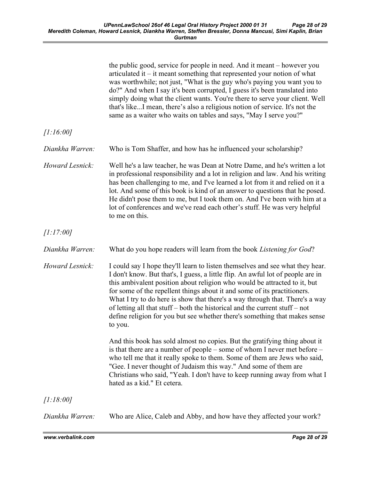|                 | the public good, service for people in need. And it meant – however you<br>articulated it $-$ it meant something that represented your notion of what<br>was worthwhile; not just, "What is the guy who's paying you want you to<br>do?" And when I say it's been corrupted, I guess it's been translated into<br>simply doing what the client wants. You're there to serve your client. Well<br>that's likeI mean, there's also a religious notion of service. It's not the<br>same as a waiter who waits on tables and says, "May I serve you?"                                 |
|-----------------|-----------------------------------------------------------------------------------------------------------------------------------------------------------------------------------------------------------------------------------------------------------------------------------------------------------------------------------------------------------------------------------------------------------------------------------------------------------------------------------------------------------------------------------------------------------------------------------|
| [1:16:00]       |                                                                                                                                                                                                                                                                                                                                                                                                                                                                                                                                                                                   |
| Diankha Warren: | Who is Tom Shaffer, and how has he influenced your scholarship?                                                                                                                                                                                                                                                                                                                                                                                                                                                                                                                   |
| Howard Lesnick: | Well he's a law teacher, he was Dean at Notre Dame, and he's written a lot<br>in professional responsibility and a lot in religion and law. And his writing<br>has been challenging to me, and I've learned a lot from it and relied on it a<br>lot. And some of this book is kind of an answer to questions that he posed.<br>He didn't pose them to me, but I took them on. And I've been with him at a<br>lot of conferences and we've read each other's stuff. He was very helpful<br>to me on this.                                                                          |
| [1:17:00]       |                                                                                                                                                                                                                                                                                                                                                                                                                                                                                                                                                                                   |
| Diankha Warren: | What do you hope readers will learn from the book Listening for God?                                                                                                                                                                                                                                                                                                                                                                                                                                                                                                              |
| Howard Lesnick: | I could say I hope they'll learn to listen themselves and see what they hear.<br>I don't know. But that's, I guess, a little flip. An awful lot of people are in<br>this ambivalent position about religion who would be attracted to it, but<br>for some of the repellent things about it and some of its practitioners.<br>What I try to do here is show that there's a way through that. There's a way<br>of letting all that stuff – both the historical and the current stuff – not<br>define religion for you but see whether there's something that makes sense<br>to you. |
|                 | And this book has sold almost no copies. But the gratifying thing about it<br>is that there are a number of people – some of whom I never met before –<br>who tell me that it really spoke to them. Some of them are Jews who said,<br>"Gee. I never thought of Judaism this way." And some of them are<br>Christians who said, "Yeah. I don't have to keep running away from what I<br>hated as a kid." Et cetera.                                                                                                                                                               |
| [1:18:00]       |                                                                                                                                                                                                                                                                                                                                                                                                                                                                                                                                                                                   |
| Diankha Warren: | Who are Alice, Caleb and Abby, and how have they affected your work?                                                                                                                                                                                                                                                                                                                                                                                                                                                                                                              |